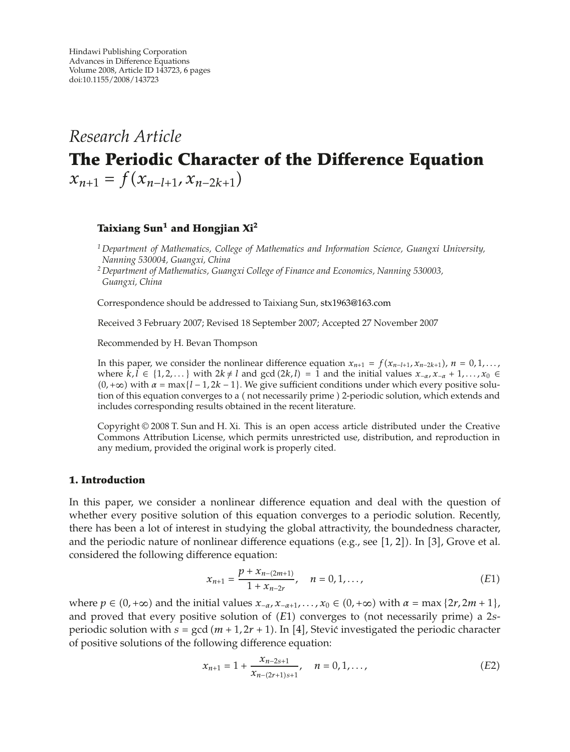# *Research Article* **The Periodic Character of the Difference Equation**  $x_{n+1} = f(x_{n-l+1}, x_{n-2k+1})$

## **Taixiang Sun1 and Hongjian Xi<sup>2</sup>**

*<sup>1</sup> Department of Mathematics, College of Mathematics and Information Science, Guangxi University, Nanning 530004, Guangxi, China*

*<sup>2</sup> Department of Mathematics, Guangxi College of Finance and Economics, Nanning 530003, Guangxi, China*

Correspondence should be addressed to Taixiang Sun, stx1963@163.com

Received 3 February 2007; Revised 18 September 2007; Accepted 27 November 2007

Recommended by H. Bevan Thompson

In this paper, we consider the nonlinear difference equation  $x_{n+1} = f(x_{n-l+1}, x_{n-2k+1})$ ,  $n = 0, 1, \ldots$ , where  $k, l \in \{1, 2, \ldots\}$  with  $2k \neq l$  and gcd  $(2k, l) = 1$  and the initial values  $x_{-\alpha}, x_{-\alpha} + 1, \ldots, x_0 \in$  $(0, +\infty)$  with  $\alpha = \max\{l - 1, 2k - 1\}$ . We give sufficient conditions under which every positive solution of this equation converges to a (not necessarily prime ) 2-periodic solution, which extends and includes corresponding results obtained in the recent literature.

Copyright  $\odot$  2008 T. Sun and H. Xi. This is an open access article distributed under the Creative Commons Attribution License, which permits unrestricted use, distribution, and reproduction in any medium, provided the original work is properly cited.

## **1. Introduction**

In this paper, we consider a nonlinear difference equation and deal with the question of whether every positive solution of this equation converges to a periodic solution. Recently, there has been a lot of interest in studying the global attractivity, the boundedness character, and the periodic nature of nonlinear difference equations (e.g., see [1, 2]). In [3], Grove et al. considered the following difference equation:

$$
x_{n+1} = \frac{p + x_{n-(2m+1)}}{1 + x_{n-2r}}, \quad n = 0, 1, ...,
$$
 (E1)

where  $p \in (0, +\infty)$  and the initial values  $x_{-\alpha}, x_{-\alpha+1}, \ldots, x_0 \in (0, +\infty)$  with  $\alpha = \max\{2r, 2m + 1\}$ , and proved that every positive solution of *(E1)* converges to (not necessarily prime) a 2*s*periodic solution with  $s = \gcd(m + 1, 2r + 1)$ . In [4], Stevic investigated the periodic character of positive solutions of the following difference equation:

$$
x_{n+1} = 1 + \frac{x_{n-2s+1}}{x_{n-(2r+1)s+1}}, \quad n = 0, 1, ...,
$$
 (E2)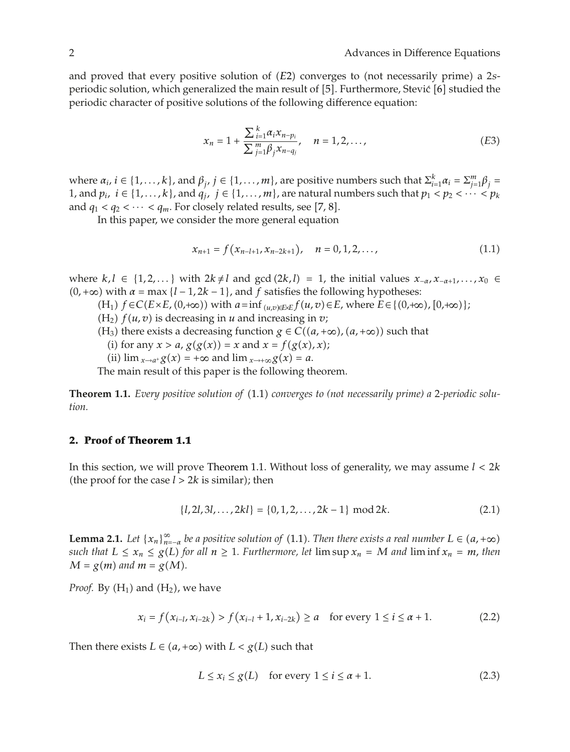and proved that every positive solution of *(E2)* converges to (not necessarily prime) a 2*s*periodic solution, which generalized the main result of [5]. Furthermore, Stević [6] studied the periodic character of positive solutions of the following difference equation:

$$
x_n = 1 + \frac{\sum_{i=1}^{k} \alpha_i x_{n-p_i}}{\sum_{j=1}^{m} \beta_j x_{n-q_j}}, \quad n = 1, 2, ..., \tag{E3}
$$

where  $\alpha_i$ ,  $i \in \{1, ..., k\}$ , and  $\beta_j$ ,  $j \in \{1, ..., m\}$ , are positive numbers such that  $\sum_{i=1}^k \alpha_i = \sum_{j=1}^m \beta_j = 1$ <br>and  $n, i \in \{1, ..., k\}$  and  $a, i \in \{1, ..., m\}$  are patural numbers such that  $n, \leq n \leq \dots \leq n$ . 1, and  $p_i$ ,  $i \in \{1,\ldots,k\}$ , and  $q_j$ ,  $j \in \{1,\ldots,m\}$ , are natural numbers such that  $p_1 < p_2 < \cdots < p_k$ and  $q_1 < q_2 < \cdots < q_m$ . For closely related results, see [7, 8].

In this paper, we consider the more general equation

$$
x_{n+1} = f(x_{n-l+1}, x_{n-2k+1}), \quad n = 0, 1, 2, \dots,
$$
\n(1.1)

where  $k, l \in \{1, 2, \ldots\}$  with  $2k \neq l$  and gcd  $(2k, l) = 1$ , the initial values  $x_{-\alpha}, x_{-\alpha+1}, \ldots, x_0 \in$  $(0, +\infty)$  with  $\alpha = \max\{l - 1, 2k - 1\}$ , and  $f$  satisfies the following hypotheses:

 $(H_1)$   $f \in C(E \times E, (0, +\infty))$  with  $a = \inf_{(u,v) \in E \times E} f(u,v) \in E$ , where  $E \in \{(0, +\infty), [0, +\infty)\}\;$ 

 $(H_2)$   $f(u, v)$  is decreasing in *u* and increasing in *v*;

- (H<sub>3</sub>) there exists a decreasing function  $g \in C((a, +\infty), (a, +\infty))$  such that
	- (i) for any  $x > a$ ,  $g(g(x)) = x$  and  $x = f(g(x), x)$ ;
- (ii)  $\lim_{x \to a^+} g(x) = +\infty$  and  $\lim_{x \to +\infty} g(x) = a$ .

The main result of this paper is the following theorem.

**Theorem 1.1.** *Every positive solution of* 1.1 *converges to (not necessarily prime) a* 2*-periodic solution.*

### **2. Proof of Theorem 1.1**

In this section, we will prove Theorem 1.1. Without loss of generality, we may assume *l <* <sup>2</sup>*k* (the proof for the case  $l > 2k$  is similar); then

$$
\{l, 2l, 3l, \dots, 2kl\} = \{0, 1, 2, \dots, 2k - 1\} \mod 2k. \tag{2.1}
$$

**Lemma 2.1.** *Let*  $\{x_n\}_{n=a}^{\infty}$  *be a positive solution of* (1.1). Then there exists a real number  $L \in (a, +\infty)$ <br>cuch that  $L \le x \le \alpha(L)$  for all  $n > 1$ . Eurtharmore, let  $\limsup x = M$  and  $\liminf x = m$ , then *such that*  $L \le x_n \le g(L)$  *for all*  $n \ge 1$ *. Furthermore, let*  $\limsup x_n = M$  *and*  $\liminf x_n = m$ *, then*  $M = g(m)$  and  $m = g(M)$ .

*Proof.* By  $(H_1)$  and  $(H_2)$ , we have

$$
x_i = f(x_{i-l}, x_{i-2k}) > f(x_{i-l} + 1, x_{i-2k}) \ge a \quad \text{for every } 1 \le i \le a+1. \tag{2.2}
$$

Then there exists  $L \in (a, +\infty)$  with  $L < g(L)$  such that

$$
L \le x_i \le g(L) \quad \text{for every } 1 \le i \le \alpha + 1. \tag{2.3}
$$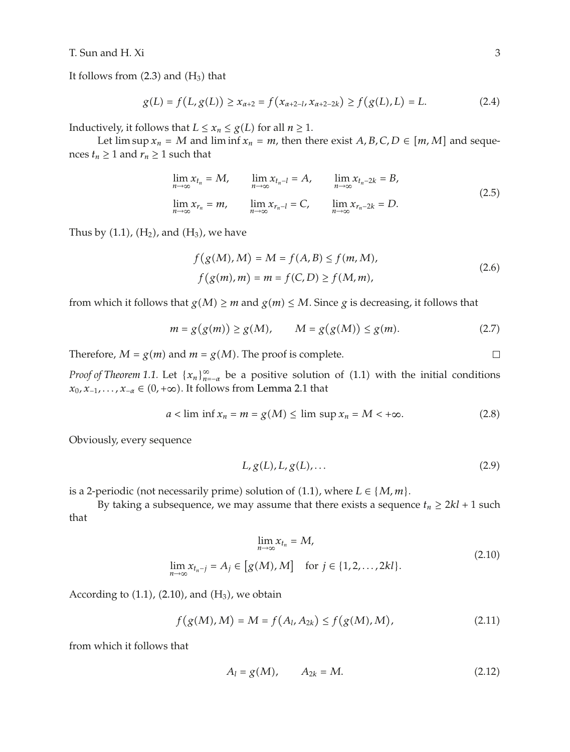T. Sun and H. Xi 3

It follows from  $(2.3)$  and  $(H_3)$  that

$$
g(L) = f(L, g(L)) \ge x_{\alpha+2} = f(x_{\alpha+2-l}, x_{\alpha+2-2k}) \ge f(g(L), L) = L.
$$
 (2.4)

Inductively, it follows that  $L \le x_n \le g(L)$  for all  $n \ge 1$ .

Let  $\limsup x_n = M$  and  $\liminf x_n = m$ , then there exist  $A, B, C, D \in [m, M]$  and sequences  $t_n \geq 1$  and  $r_n \geq 1$  such that

$$
\lim_{n \to \infty} x_{t_n} = M, \qquad \lim_{n \to \infty} x_{t_n - l} = A, \qquad \lim_{n \to \infty} x_{t_n - 2k} = B,
$$
\n
$$
\lim_{n \to \infty} x_{r_n} = m, \qquad \lim_{n \to \infty} x_{r_n - l} = C, \qquad \lim_{n \to \infty} x_{r_n - 2k} = D.
$$
\n(2.5)

Thus by  $(1.1)$ ,  $(H<sub>2</sub>)$ , and  $(H<sub>3</sub>)$ , we have

$$
f(g(M), M) = M = f(A, B) \le f(m, M),
$$
  

$$
f(g(m), m) = m = f(C, D) \ge f(M, m),
$$
 (2.6)

from which it follows that  $g(M) \ge m$  and  $g(m) \le M$ . Since *g* is decreasing, it follows that

$$
m = g(g(m)) \ge g(M), \qquad M = g(g(M)) \le g(m).
$$
 (2.7)

Therefore,  $M = g(m)$  and  $m = g(M)$ . The proof is complete.

*Proof of Theorem 1.1.* Let  $\{x_n\}_{n=-\alpha}^{\infty}$  be a positive solution of (1.1) with the initial conditions  $x_n, x_{n-1} \in (0, +\infty)$ . It follows from Lemma 2.1 that *x*<sub>0</sub>*, x*<sub>−1</sub>*,..., x*<sub>−*α*</sub> ∈ (0*,* +∞). It follows from Lemma 2.1 that

$$
a < \liminf x_n = m = g(M) \le \limsup x_n = M < +\infty.
$$
 (2.8)

Obviously, every sequence

$$
L, g(L), L, g(L), \dots \tag{2.9}
$$

is a 2-periodic (not necessarily prime) solution of  $(1.1)$ , where  $L \in \{M, m\}$ .

By taking a subsequence, we may assume that there exists a sequence  $t_n \geq 2kl + 1$  such that

$$
\lim_{n \to \infty} x_{t_n} = M,
$$
\n
$$
\lim_{n \to \infty} x_{t_n - j} = A_j \in [g(M), M] \quad \text{for } j \in \{1, 2, \dots, 2kl\}.
$$
\n
$$
(2.10)
$$

According to  $(1.1)$ ,  $(2.10)$ , and  $(H_3)$ , we obtain

$$
f(g(M), M) = M = f(A_l, A_{2k}) \le f(g(M), M),
$$
\n(2.11)

from which it follows that

$$
A_l = g(M), \qquad A_{2k} = M. \tag{2.12}
$$

 $\Box$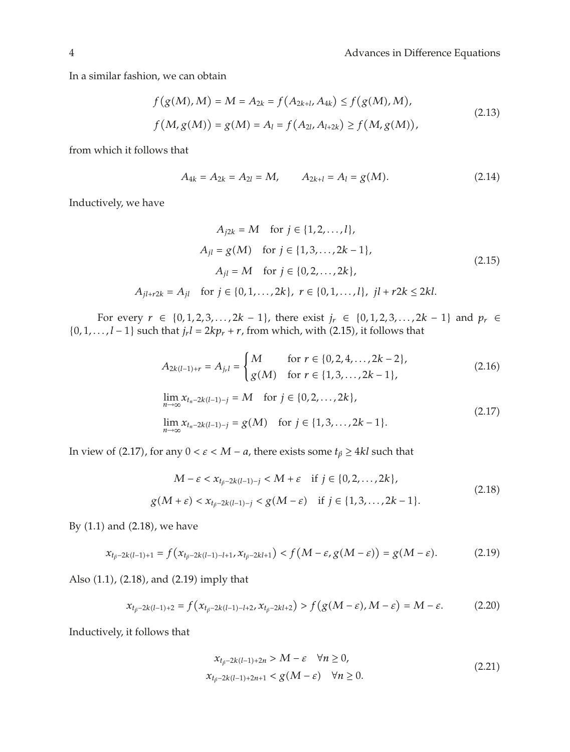In a similar fashion, we can obtain

$$
f(g(M), M) = M = A_{2k} = f(A_{2k+l}, A_{4k}) \le f(g(M), M),
$$
  

$$
f(M, g(M)) = g(M) = A_l = f(A_{2l}, A_{l+2k}) \ge f(M, g(M)),
$$
\n(2.13)

from which it follows that

$$
A_{4k} = A_{2k} = A_{2l} = M, \qquad A_{2k+l} = A_l = g(M). \tag{2.14}
$$

Inductively, we have

$$
A_{j2k} = M \text{ for } j \in \{1, 2, ..., l\},
$$
  
\n
$$
A_{jl} = g(M) \text{ for } j \in \{1, 3, ..., 2k - 1\},
$$
  
\n
$$
A_{jl} = M \text{ for } j \in \{0, 2, ..., 2k\},
$$
  
\n
$$
A_{jl+r2k} = A_{jl} \text{ for } j \in \{0, 1, ..., 2k\}, r \in \{0, 1, ..., l\}, jl + r2k \le 2kl.
$$
  
\n(2.15)

For every *r* ∈ {0*,* 1*,* 2*,* 3*,...,* 2*k* − 1}*,* there exist  $j_r$  ∈ {0*,* 1*,* 2*,* 3*,...,* 2*k* − 1} and  $p_r$  ∈ {0*,* <sup>1</sup>*,...,l* <sup>−</sup> <sup>1</sup>} such that *jr <sup>l</sup>* <sup>2</sup>*kpr <sup>r</sup>*, from which, with 2.15, it follows that

$$
A_{2k(l-1)+r} = A_{j_{r}l} = \begin{cases} M & \text{for } r \in \{0, 2, 4, ..., 2k-2\}, \\ g(M) & \text{for } r \in \{1, 3, ..., 2k-1\}, \end{cases}
$$
(2.16)  

$$
\lim_{n \to \infty} x_{t_{n}-2k(l-1)-j} = M \text{ for } j \in \{0, 2, ..., 2k\},
$$

$$
\lim_{n \to \infty} x_{t_{n}-2k(l-1)-j} = g(M) \text{ for } j \in \{1, 3, ..., 2k-1\}.
$$
(2.17)

In view of (2.17), for any  $0 < \varepsilon < M - a$ , there exists some  $t_\beta \geq 4kl$  such that

$$
M - \varepsilon < x_{t_{\beta} - 2k(l-1) - j} < M + \varepsilon \quad \text{if } j \in \{0, 2, \dots, 2k\},
$$
\n
$$
g(M + \varepsilon) < x_{t_{\beta} - 2k(l-1) - j} < g(M - \varepsilon) \quad \text{if } j \in \{1, 3, \dots, 2k - 1\}.
$$
\n
$$
(2.18)
$$

By  $(1.1)$  and  $(2.18)$ , we have

$$
x_{t_{\beta}-2k(l-1)+1} = f(x_{t_{\beta}-2k(l-1)-l+1}, x_{t_{\beta}-2kl+1}) < f(M-\varepsilon, g(M-\varepsilon)) = g(M-\varepsilon). \tag{2.19}
$$

Also (1.1), (2.18), and (2.19) imply that

$$
x_{t_{\beta}-2k(l-1)+2} = f(x_{t_{\beta}-2k(l-1)-l+2}, x_{t_{\beta}-2kl+2}) > f(g(M-\varepsilon), M-\varepsilon) = M-\varepsilon.
$$
 (2.20)

Inductively, it follows that

$$
x_{t_{\beta}-2k(l-1)+2n} > M - \varepsilon \quad \forall n \ge 0,
$$
  
\n
$$
x_{t_{\beta}-2k(l-1)+2n+1} < g(M - \varepsilon) \quad \forall n \ge 0.
$$
\n(2.21)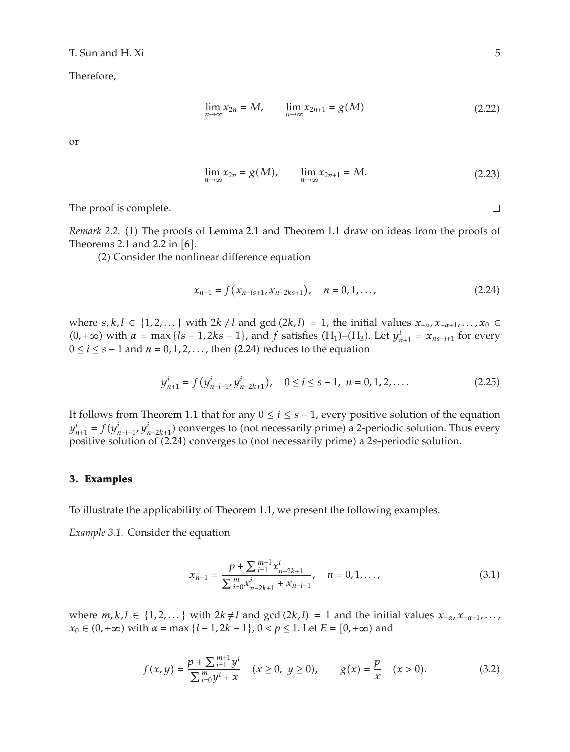T. Sun and H. Xi 5

Therefore,

$$
\lim_{n \to \infty} x_{2n} = M, \qquad \lim_{n \to \infty} x_{2n+1} = g(M)
$$
\n(2.22)

or

$$
\lim_{n \to \infty} x_{2n} = g(M), \qquad \lim_{n \to \infty} x_{2n+1} = M. \tag{2.23}
$$

The proof is complete.

*Remark 2.2.* (1) The proofs of Lemma 2.1 and Theorem 1.1 draw on ideas from the proofs of Theorems 2.1 and 2.2 in  $[6]$ .

2 Consider the nonlinear difference equation

$$
x_{n+1} = f(x_{n-ls+1}, x_{n-2ks+1}), \quad n = 0, 1, ..., \tag{2.24}
$$

where *s*, *k*, *l* ∈ {1,2,...} with  $2k \neq l$  and gcd  $(2k, l) = 1$ , the initial values  $x_{-\alpha}, x_{-\alpha+1}, \ldots, x_0$  ∈  $(0, +\infty)$  with  $\alpha = \max\{l s - 1, 2k s - 1\}$ , and  $f$  satisfies  $(H_1)$ – $(H_3)$ . Let  $y_{n+1}^i = x_{n s + i+1}$  for every  $0 \le i \le s - 1$  and  $n = 0, 1, 2$  then  $(2, 24)$  reduces to the equation <sup>0</sup> <sup>≤</sup> *i* <sup>≤</sup> *s* <sup>−</sup> 1 and *n* <sup>0</sup>*,* <sup>1</sup>*,* <sup>2</sup>*,...* , then 2.24 reduces to the equation

$$
y_{n+1}^i = f(y_{n-l+1}^i, y_{n-2k+1}^i), \quad 0 \le i \le s-1, \ n = 0, 1, 2, .... \tag{2.25}
$$

It follows from Theorem 1.1 that for any 0 <sup>≤</sup> *i* <sup>≤</sup> *s* <sup>−</sup> 1, every positive solution of the equation  $y_{n+1} = f(y_{n-l+1}, y)$  $n_{n+1}^i = f(y_{n-l+1}^i, y_{n-2k+1}^i)$  converges to (not necessarily prime) a 2-periodic solution. Thus every<br>ositive solution of (2.24) converges to (not necessarily prime) a 2s-periodic solution positive solution of (2.24) converges to (not necessarily prime) a 2*s*-periodic solution.

### **3. Examples**

To illustrate the applicability of Theorem 1.1, we present the following examples.

*Example 3.1.* Consider the equation

$$
x_{n+1} = \frac{p + \sum_{i=1}^{m+1} x_{n-2k+1}^i}{\sum_{i=0}^m x_{n-2k+1}^i + x_{n-l+1}}, \quad n = 0, 1, ..., \tag{3.1}
$$

where  $m, k, l$  ∈ {1, 2, ...} with  $2k \neq l$  and gcd  $(2k, l) = 1$  and the initial values  $x_{-α}, x_{-α+1}, \ldots$ , *x*<sub>0</sub> ∈ (0, +∞) with *α* = max {*l* − 1, 2*k* − 1}, 0 < *p* ≤ 1. Let *E* = [0, +∞) and

$$
f(x,y) = \frac{p + \sum_{i=1}^{m+1} y^i}{\sum_{i=0}^{m} y^i + x} \quad (x \ge 0, \ y \ge 0), \qquad g(x) = \frac{p}{x} \quad (x > 0). \tag{3.2}
$$

 $\Box$